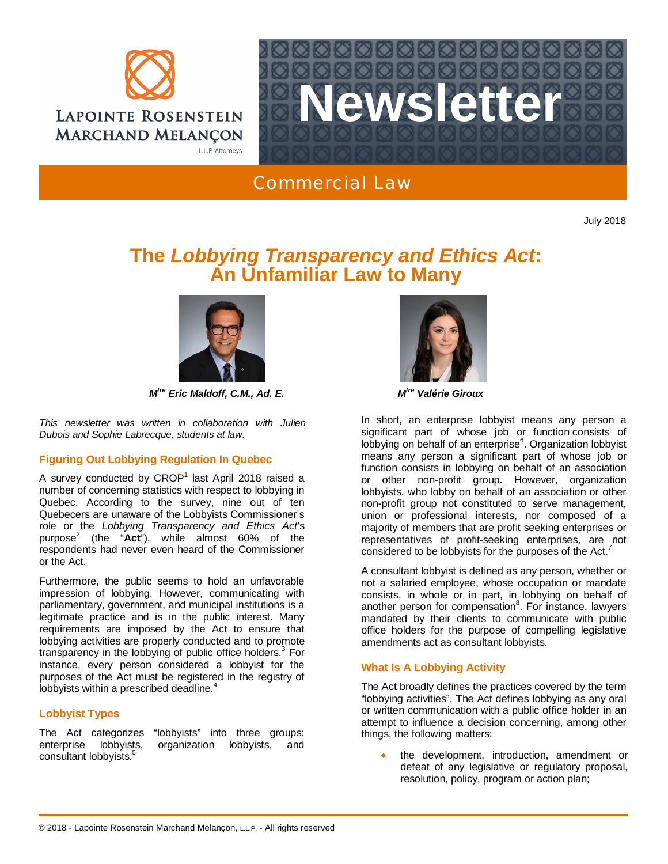



Commercial Law

July 2018

# **The** *Lobbying Transparency and Ethics Act***: An Unfamiliar Law to Many**



*M tre Eric Maldoff, C.M., Ad. E. M*

*This newsletter was written in collaboration with Julien Dubois and Sophie Labrecque, students at law.*

## **Figuring Out Lobbying Regulation In Quebec**

A survey conducted by CROP<sup>1</sup> last April 2018 raised a number of concerning statistics with respect to lobbying in Quebec. According to the survey, nine out of ten Quebecers are unaware of the Lobbyists Commissioner's role or the *Lobbying Transparency and Ethics Act*'s purpose<sup>2</sup> (the "**Act**"), while almost 60% of the respondents had never even heard of the Commissioner or the Act.

Furthermore, the public seems to hold an unfavorable impression of lobbying. However, communicating with parliamentary, government, and municipal institutions is a legitimate practice and is in the public interest. Many requirements are imposed by the Act to ensure that lobbying activities are properly conducted and to promote transparency in the lobbying of public office holders.<sup>3</sup> For instance, every person considered a lobbyist for the purposes of the Act must be registered in the registry of lobbyists within a prescribed deadline.<sup>4</sup>

## **Lobbyist Types**

The Act categorizes "lobbyists" into three groups: enterprise lobbyists, organization lobbyists, and consultant lobbyists.<sup>5</sup>



*tre Valérie Giroux*

In short, an enterprise lobbyist means any person a significant part of whose job or function consists of lobbying on behalf of an enterprise<sup>6</sup>. Organization lobbyist means any person a significant part of whose job or function consists in lobbying on behalf of an association or other non-profit group. However, organization lobbyists, who lobby on behalf of an association or other non-profit group not constituted to serve management, union or professional interests, nor composed of a majority of members that are profit seeking enterprises or representatives of profit-seeking enterprises, are not considered to be lobbyists for the purposes of the Act.

A consultant lobbyist is defined as any person, whether or not a salaried employee, whose occupation or mandate consists, in whole or in part, in lobbying on behalf of another person for compensation<sup>8</sup>. For instance, lawyers mandated by their clients to communicate with public office holders for the purpose of compelling legislative amendments act as consultant lobbyists.

## **What Is A Lobbying Activity**

The Act broadly defines the practices covered by the term "lobbying activities". The Act defines lobbying as any oral or written communication with a public office holder in an attempt to influence a decision concerning, among other things, the following matters:

the development, introduction, amendment or defeat of any legislative or regulatory proposal, resolution, policy, program or action plan;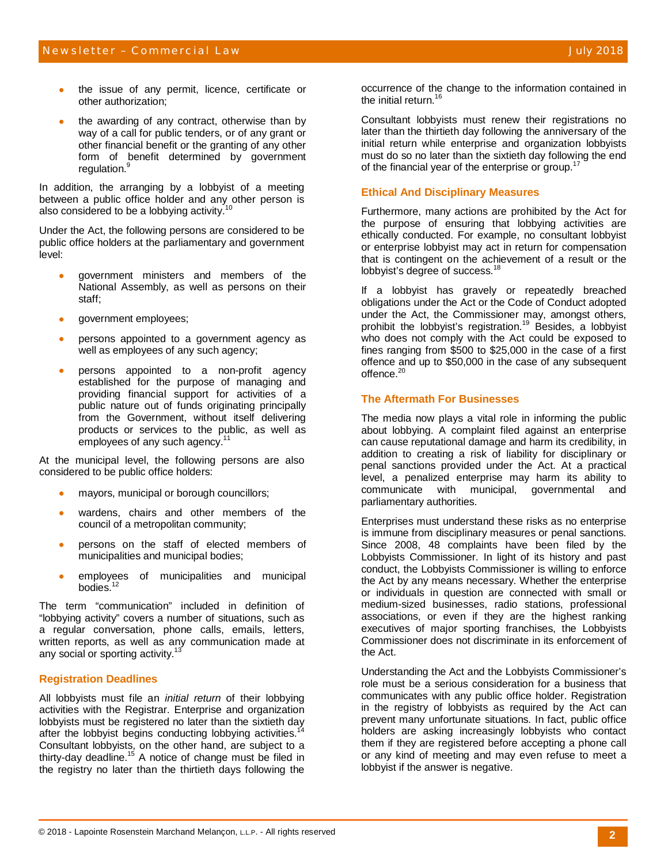- the issue of any permit, licence, certificate or other authorization;
- the awarding of any contract, otherwise than by way of a call for public tenders, or of any grant or other financial benefit or the granting of any other form of benefit determined by government regulation.<sup>9</sup>

In addition, the arranging by a lobbyist of a meeting between a public office holder and any other person is also considered to be a lobbying activity.

Under the Act, the following persons are considered to be public office holders at the parliamentary and government level:

- government ministers and members of the National Assembly, as well as persons on their staff;
- government employees;
- x persons appointed to a government agency as well as employees of any such agency;
- persons appointed to a non-profit agency established for the purpose of managing and providing financial support for activities of a public nature out of funds originating principally from the Government, without itself delivering products or services to the public, as well as employees of any such agency.<sup>11</sup>

At the municipal level, the following persons are also considered to be public office holders:

- mayors, municipal or borough councillors;
- wardens, chairs and other members of the council of a metropolitan community;
- persons on the staff of elected members of municipalities and municipal bodies;
- x employees of municipalities and municipal bodies.<sup>12</sup>

The term "communication" included in definition of "lobbying activity" covers a number of situations, such as a regular conversation, phone calls, emails, letters, written reports, as well as any communication made at any social or sporting activity.<sup>1</sup>

#### **Registration Deadlines**

All lobbyists must file an *initial return* of their lobbying activities with the Registrar. Enterprise and organization lobbyists must be registered no later than the sixtieth day after the lobbyist begins conducting lobbying activities.<sup>1</sup> Consultant lobbyists, on the other hand, are subject to a thirty-day deadline.<sup>15</sup> A notice of change must be filed in the registry no later than the thirtieth days following the

occurrence of the change to the information contained in the initial return.<sup>16</sup>

Consultant lobbyists must renew their registrations no later than the thirtieth day following the anniversary of the initial return while enterprise and organization lobbyists must do so no later than the sixtieth day following the end of the financial year of the enterprise or group.<sup>1</sup>

### **Ethical And Disciplinary Measures**

Furthermore, many actions are prohibited by the Act for the purpose of ensuring that lobbying activities are ethically conducted. For example, no consultant lobbyist or enterprise lobbyist may act in return for compensation that is contingent on the achievement of a result or the lobbyist's degree of success.<sup>18</sup>

If a lobbyist has gravely or repeatedly breached obligations under the Act or the Code of Conduct adopted under the Act, the Commissioner may, amongst others, prohibit the lobbyist's registration.<sup>19</sup> Besides, a lobbyist who does not comply with the Act could be exposed to fines ranging from \$500 to \$25,000 in the case of a first offence and up to \$50,000 in the case of any subsequent offence.<sup>20</sup>

#### **The Aftermath For Businesses**

The media now plays a vital role in informing the public about lobbying. A complaint filed against an enterprise can cause reputational damage and harm its credibility, in addition to creating a risk of liability for disciplinary or penal sanctions provided under the Act. At a practical level, a penalized enterprise may harm its ability to communicate with municipal, governmental and parliamentary authorities.

Enterprises must understand these risks as no enterprise is immune from disciplinary measures or penal sanctions. Since 2008, 48 complaints have been filed by the Lobbyists Commissioner. In light of its history and past conduct, the Lobbyists Commissioner is willing to enforce the Act by any means necessary. Whether the enterprise or individuals in question are connected with small or medium-sized businesses, radio stations, professional associations, or even if they are the highest ranking executives of major sporting franchises, the Lobbyists Commissioner does not discriminate in its enforcement of the Act.

Understanding the Act and the Lobbyists Commissioner's role must be a serious consideration for a business that communicates with any public office holder. Registration in the registry of lobbyists as required by the Act can prevent many unfortunate situations. In fact, public office holders are asking increasingly lobbyists who contact them if they are registered before accepting a phone call or any kind of meeting and may even refuse to meet a lobbyist if the answer is negative.